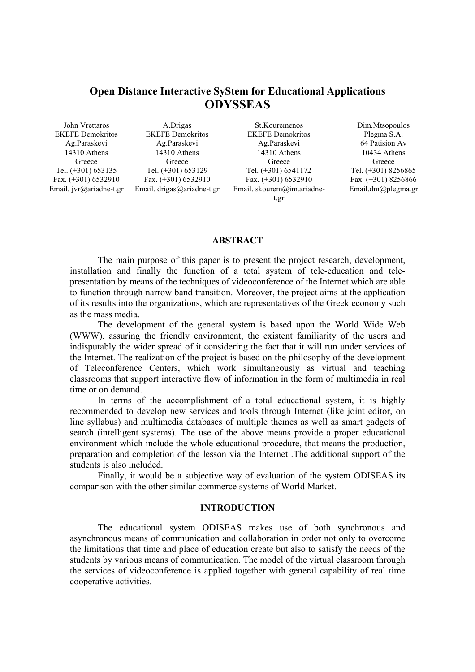# **Open Distance Interactive SyStem for Educational Applications ODYSSEAS**

John Vrettaros EKEFE Demokritos Ag.Paraskevi 14310 Athens Greece Tel. (+301) 653135 Fax. (+301) 6532910 Email. jvr@ariadne-t.gr

A.Drigas EKEFE Demokritos Ag.Paraskevi 14310 Athens Greece Tel. (+301) 653129 Fax. (+301) 6532910 Email. drigas@ariadne-t.gr

St.Kouremenos EKEFE Demokritos Ag.Paraskevi 14310 Athens Greece Tel. (+301) 6541172 Fax. (+301) 6532910 Email. skourem@im.ariadnet.gr

Dim.Mtsopoulos Plegma S.A. 64 Patision Av 10434 Athens Greece Tel. (+301) 8256865 Fax. (+301) 8256866 Email.dm@plegma.gr

## **ABSTRACT**

The main purpose of this paper is to present the project research, development, installation and finally the function of a total system of tele-education and telepresentation by means of the techniques of videoconference of the Internet which are able to function through narrow band transition. Moreover, the project aims at the application of its results into the organizations, which are representatives of the Greek economy such as the mass media.

 The development of the general system is based upon the World Wide Web (WWW), assuring the friendly environment, the existent familiarity of the users and indisputably the wider spread of it considering the fact that it will run under services of the Internet. The realization of the project is based on the philosophy of the development of Teleconference Centers, which work simultaneously as virtual and teaching classrooms that support interactive flow of information in the form of multimedia in real time or on demand.

 In terms of the accomplishment of a total educational system, it is highly recommended to develop new services and tools through Internet (like joint editor, on line syllabus) and multimedia databases of multiple themes as well as smart gadgets of search (intelligent systems). The use of the above means provide a proper educational environment which include the whole educational procedure, that means the production, preparation and completion of the lesson via the Internet .The additional support of the students is also included.

 Finally, it would be a subjective way of evaluation of the system ODISEAS its comparison with the other similar commerce systems of World Market.

#### **INTRODUCTION**

 The educational system ODISEAS makes use of both synchronous and asynchronous means of communication and collaboration in order not only to overcome the limitations that time and place of education create but also to satisfy the needs of the students by various means of communication. The model of the virtual classroom through the services of videoconference is applied together with general capability of real time cooperative activities.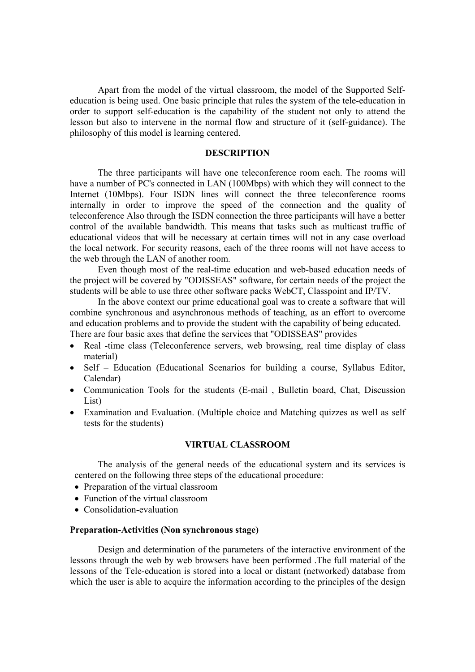Apart from the model of the virtual classroom, the model of the Supported Selfeducation is being used. One basic principle that rules the system of the tele-education in order to support self-education is the capability of the student not only to attend the lesson but also to intervene in the normal flow and structure of it (self-guidance). The philosophy of this model is learning centered.

## **DESCRIPTION**

The three participants will have one teleconference room each. The rooms will have a number of PC's connected in LAN (100Mbps) with which they will connect to the Internet (10Mbps). Four ISDN lines will connect the three teleconference rooms internally in order to improve the speed of the connection and the quality of teleconference Also through the ISDN connection the three participants will have a better control of the available bandwidth. This means that tasks such as multicast traffic of educational videos that will be necessary at certain times will not in any case overload the local network. For security reasons, each of the three rooms will not have access to the web through the LAN of another room.

Even though most of the real-time education and web-based education needs of the project will be covered by "ODISSEAS" software, for certain needs of the project the students will be able to use three other software packs WebCT, Classpoint and IP/TV.

In the above context our prime educational goal was to create a software that will combine synchronous and asynchronous methods of teaching, as an effort to overcome and education problems and to provide the student with the capability of being educated. There are four basic axes that define the services that "ODISSEAS" provides

- Real -time class (Teleconference servers, web browsing, real time display of class material)
- Self Education (Educational Scenarios for building a course, Syllabus Editor, Calendar)
- Communication Tools for the students (E-mail , Bulletin board, Chat, Discussion List)
- Examination and Evaluation. (Multiple choice and Matching quizzes as well as self tests for the students)

## **VIRTUAL CLASSROOM**

 The analysis of the general needs of the educational system and its services is centered on the following three steps of the educational procedure:

- Preparation of the virtual classroom
- Function of the virtual classroom
- Consolidation-evaluation

## **Preparation-Activities (Non synchronous stage)**

Design and determination of the parameters of the interactive environment of the lessons through the web by web browsers have been performed .The full material of the lessons of the Tele-education is stored into a local or distant (networked) database from which the user is able to acquire the information according to the principles of the design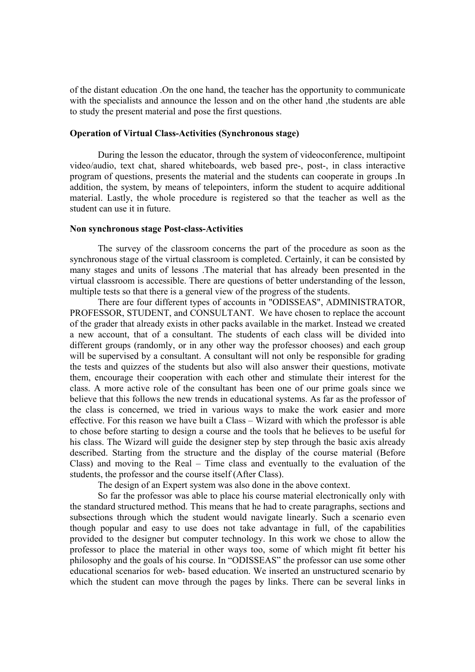of the distant education .On the one hand, the teacher has the opportunity to communicate with the specialists and announce the lesson and on the other hand ,the students are able to study the present material and pose the first questions.

#### **Operation of Virtual Class-Activities (Synchronous stage)**

 During the lesson the educator, through the system of videoconference, multipoint video/audio, text chat, shared whiteboards, web based pre-, post-, in class interactive program of questions, presents the material and the students can cooperate in groups .In addition, the system, by means of telepointers, inform the student to acquire additional material. Lastly, the whole procedure is registered so that the teacher as well as the student can use it in future.

#### **Non synchronous stage Post-class-Activities**

 The survey of the classroom concerns the part of the procedure as soon as the synchronous stage of the virtual classroom is completed. Certainly, it can be consisted by many stages and units of lessons .The material that has already been presented in the virtual classroom is accessible. There are questions of better understanding of the lesson, multiple tests so that there is a general view of the progress of the students.

There are four different types of accounts in "ODISSEAS", ADMINISTRATOR, PROFESSOR, STUDENT, and CONSULTANT. We have chosen to replace the account of the grader that already exists in other packs available in the market. Instead we created a new account, that of a consultant. The students of each class will be divided into different groups (randomly, or in any other way the professor chooses) and each group will be supervised by a consultant. A consultant will not only be responsible for grading the tests and quizzes of the students but also will also answer their questions, motivate them, encourage their cooperation with each other and stimulate their interest for the class. A more active role of the consultant has been one of our prime goals since we believe that this follows the new trends in educational systems. As far as the professor of the class is concerned, we tried in various ways to make the work easier and more effective. For this reason we have built a Class – Wizard with which the professor is able to chose before starting to design a course and the tools that he believes to be useful for his class. The Wizard will guide the designer step by step through the basic axis already described. Starting from the structure and the display of the course material (Before Class) and moving to the Real – Time class and eventually to the evaluation of the students, the professor and the course itself (After Class).

The design of an Expert system was also done in the above context.

So far the professor was able to place his course material electronically only with the standard structured method. This means that he had to create paragraphs, sections and subsections through which the student would navigate linearly. Such a scenario even though popular and easy to use does not take advantage in full, of the capabilities provided to the designer but computer technology. In this work we chose to allow the professor to place the material in other ways too, some of which might fit better his philosophy and the goals of his course. In "ODISSEAS" the professor can use some other educational scenarios for web- based education. We inserted an unstructured scenario by which the student can move through the pages by links. There can be several links in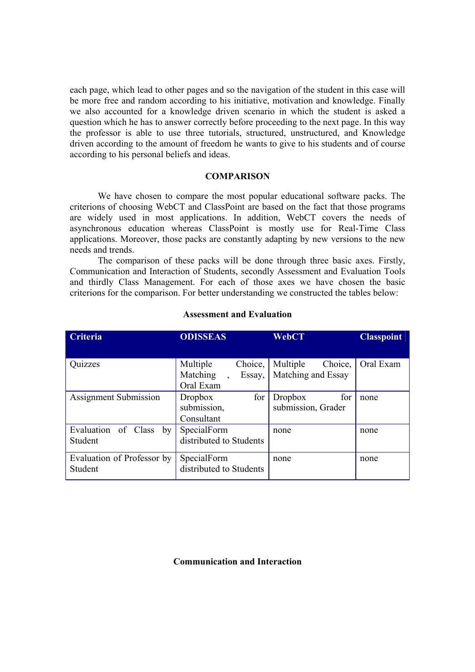each page, which lead to other pages and so the navigation of the student in this case will be more free and random according to his initiative, motivation and knowledge. Finally we also accounted for a knowledge driven scenario in which the student is asked a question which he has to answer correctly before proceeding to the next page. In this way the professor is able to use three tutorials, structured, unstructured, and Knowledge driven according to the amount of freedom he wants to give to his students and of course according to his personal beliefs and ideas.

#### **COMPARISON**

We have chosen to compare the most popular educational software packs. The criterions of choosing WebCT and ClassPoint are based on the fact that those programs are widely used in most applications. In addition, WebCT covers the needs of asynchronous education whereas ClassPoint is mostly use for Real-Time Class applications. Moreover, those packs are constantly adapting by new versions to the new needs and trends.

 The comparison of these packs will be done through three basic axes. Firstly, Communication and Interaction of Students, secondly Assessment and Evaluation Tools and thirdly Class Management. For each of those axes we have chosen the basic criterions for the comparison. For better understanding we constructed the tables below:

| <b>Criteria</b>              | <b>ODISSEAS</b>         | <b>WebCT</b>          | <b>Classpoint</b> |
|------------------------------|-------------------------|-----------------------|-------------------|
|                              |                         |                       |                   |
| Quizzes                      | Multiple<br>Choice,     | Multiple<br>Choice,   | Oral Exam         |
|                              | Matching<br>Essay,      | Matching and Essay    |                   |
|                              | Oral Exam               |                       |                   |
| <b>Assignment Submission</b> | for<br><b>Dropbox</b>   | <b>Dropbox</b><br>for | none              |
|                              | submission,             | submission, Grader    |                   |
|                              | Consultant              |                       |                   |
| Evaluation of Class<br>by    | SpecialForm             | none                  | none              |
| Student                      | distributed to Students |                       |                   |
| Evaluation of Professor by   | SpecialForm             | none                  | none              |
| Student                      | distributed to Students |                       |                   |

## **Assessment and Evaluation**

## **Communication and Interaction**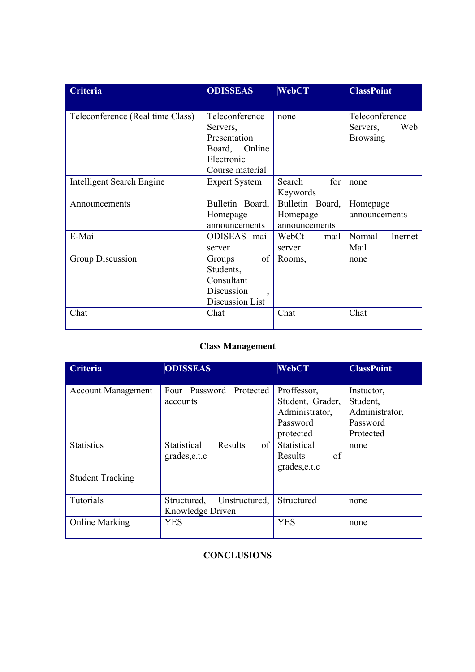| Criteria                         | <b>ODISSEAS</b>                                                                                 | <b>WebCT</b>                                 | <b>ClassPoint</b>                                    |
|----------------------------------|-------------------------------------------------------------------------------------------------|----------------------------------------------|------------------------------------------------------|
| Teleconference (Real time Class) | Teleconference<br>Servers,<br>Presentation<br>Online<br>Board,<br>Electronic<br>Course material | none                                         | Teleconference<br>Web<br>Servers,<br><b>Browsing</b> |
| <b>Intelligent Search Engine</b> | <b>Expert System</b>                                                                            | for<br>Search<br>Keywords                    | none                                                 |
| Announcements                    | Bulletin Board,<br>Homepage<br>announcements                                                    | Bulletin Board,<br>Homepage<br>announcements | Homepage<br>announcements                            |
| E-Mail                           | ODISEAS mail<br>server                                                                          | WebCt<br>mail<br>server                      | Normal<br>Inernet<br>Mail                            |
| Group Discussion                 | of<br>Groups<br>Students,<br>Consultant<br>Discussion<br>Discussion List                        | Rooms,                                       | none                                                 |
| Chat                             | Chat                                                                                            | Chat                                         | Chat                                                 |

# **Class Management**

| Criteria                  | <b>ODISSEAS</b>                                  | <b>WebCT</b>                                                               | <b>ClassPoint</b>                                                 |
|---------------------------|--------------------------------------------------|----------------------------------------------------------------------------|-------------------------------------------------------------------|
| <b>Account Management</b> | Four Password Protected<br>accounts              | Proffessor,<br>Student, Grader,<br>Administrator,<br>Password<br>protected | Instuctor,<br>Student,<br>Administrator,<br>Password<br>Protected |
| <b>Statistics</b>         | of<br>Statistical<br>Results<br>grades, e.t.c    | Statistical<br>Results<br>of<br>grades, e.t.c                              | none                                                              |
| <b>Student Tracking</b>   |                                                  |                                                                            |                                                                   |
| Tutorials                 | Structured,<br>Unstructured,<br>Knowledge Driven | Structured                                                                 | none                                                              |
| <b>Online Marking</b>     | <b>YES</b>                                       | <b>YES</b>                                                                 | none                                                              |

## **CONCLUSIONS**